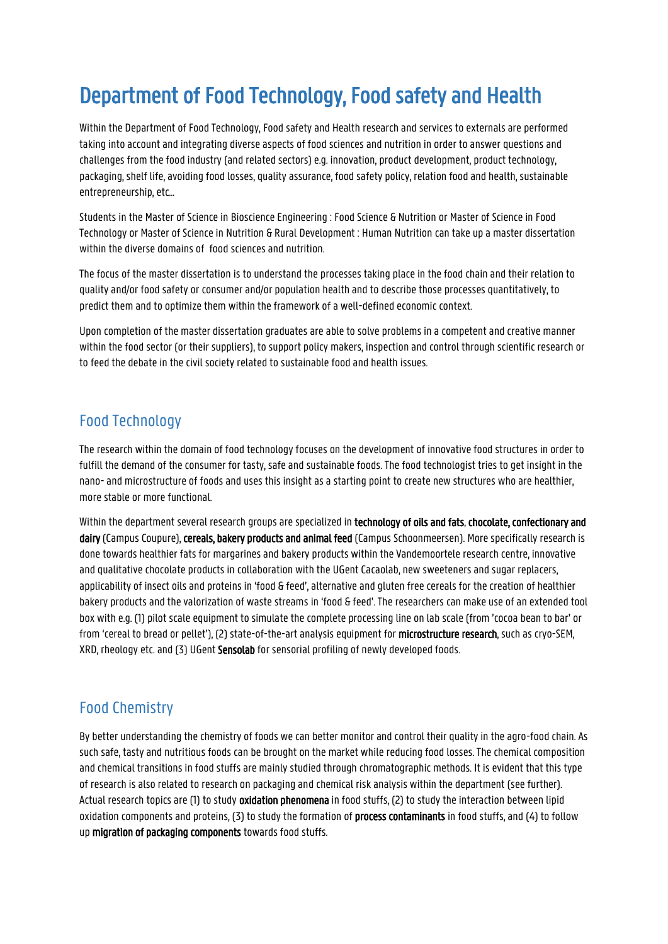# Department of Food Technology, Food safety and Health

Within the Department of Food Technology, Food safety and Health research and services to externals are performed taking into account and integrating diverse aspects of food sciences and nutrition in order to answer questions and challenges from the food industry (and related sectors) e.g. innovation, product development, product technology, packaging, shelf life, avoiding food losses, quality assurance, food safety policy, relation food and health, sustainable entrepreneurship, etc…

Students in the Master of Science in Bioscience Engineering : Food Science & Nutrition or Master of Science in Food Technology or Master of Science in Nutrition & Rural Development : Human Nutrition can take up a master dissertation within the diverse domains of food sciences and nutrition.

The focus of the master dissertation is to understand the processes taking place in the food chain and their relation to quality and/or food safety or consumer and/or population health and to describe those processes quantitatively, to predict them and to optimize them within the framework of a well-defined economic context.

Upon completion of the master dissertation graduates are able to solve problems in a competent and creative manner within the food sector (or their suppliers), to support policy makers, inspection and control through scientific research or to feed the debate in the civil society related to sustainable food and health issues.

### Food Technology

The research within the domain of food technology focuses on the development of innovative food structures in order to fulfill the demand of the consumer for tasty, safe and sustainable foods. The food technologist tries to get insight in the nano- and microstructure of foods and uses this insight as a starting point to create new structures who are healthier, more stable or more functional.

Within the department several research groups are specialized in technology of oils and fats, chocolate, confectionary and dairy (Campus Coupure), cereals, bakery products and animal feed (Campus Schoonmeersen). More specifically research is done towards healthier fats for margarines and bakery products within the Vandemoortele research centre, innovative and qualitative chocolate products in collaboration with the UGent Cacaolab, new sweeteners and sugar replacers, applicability of insect oils and proteins in 'food & feed', alternative and gluten free cereals for the creation of healthier bakery products and the valorization of waste streams in 'food & feed'. The researchers can make use of an extended tool box with e.g. (1) pilot scale equipment to simulate the complete processing line on lab scale (from 'cocoa bean to bar' or from 'cereal to bread or pellet'), (2) state-of-the-art analysis equipment for microstructure research, such as cryo-SEM, XRD, rheology etc. and (3) UGent Sensolab for sensorial profiling of newly developed foods.

## Food Chemistry

By better understanding the chemistry of foods we can better monitor and control their quality in the agro-food chain. As such safe, tasty and nutritious foods can be brought on the market while reducing food losses. The chemical composition and chemical transitions in food stuffs are mainly studied through chromatographic methods. It is evident that this type of research is also related to research on packaging and chemical risk analysis within the department (see further). Actual research topics are (1) to study oxidation phenomena in food stuffs, (2) to study the interaction between lipid oxidation components and proteins, (3) to study the formation of **process contaminants** in food stuffs, and (4) to follow up migration of packaging components towards food stuffs.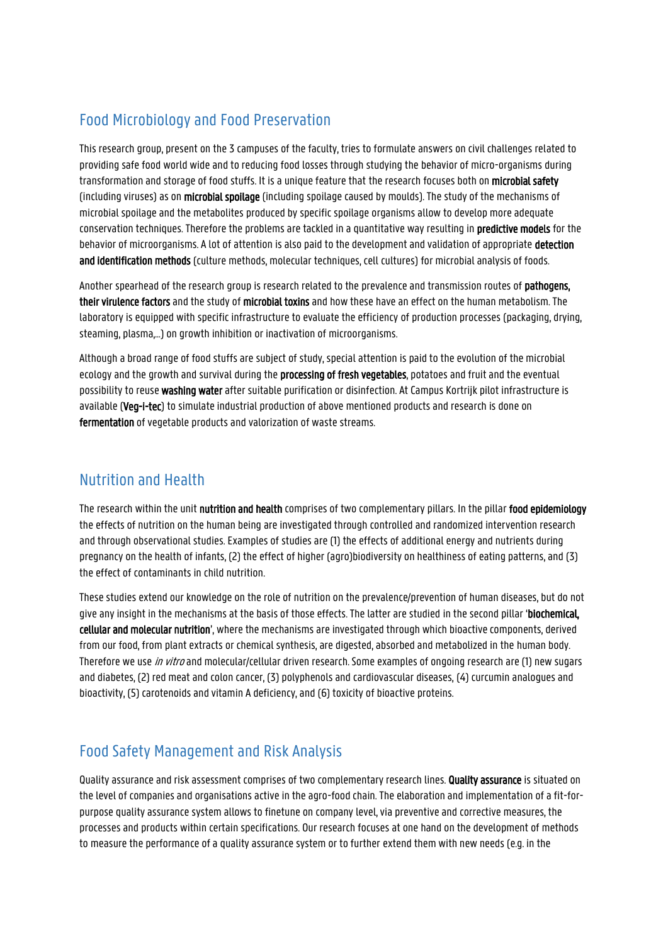## Food Microbiology and Food Preservation

This research group, present on the 3 campuses of the faculty, tries to formulate answers on civil challenges related to providing safe food world wide and to reducing food losses through studying the behavior of micro-organisms during transformation and storage of food stuffs. It is a unique feature that the research focuses both on microbial safety (including viruses) as on microbial spoilage (including spoilage caused by moulds). The study of the mechanisms of microbial spoilage and the metabolites produced by specific spoilage organisms allow to develop more adequate conservation techniques. Therefore the problems are tackled in a quantitative way resulting in predictive models for the behavior of microorganisms. A lot of attention is also paid to the development and validation of appropriate detection and identification methods (culture methods, molecular techniques, cell cultures) for microbial analysis of foods.

Another spearhead of the research group is research related to the prevalence and transmission routes of pathogens, their virulence factors and the study of microbial toxins and how these have an effect on the human metabolism. The laboratory is equipped with specific infrastructure to evaluate the efficiency of production processes (packaging, drying, steaming, plasma,…) on growth inhibition or inactivation of microorganisms.

Although a broad range of food stuffs are subject of study, special attention is paid to the evolution of the microbial ecology and the growth and survival during the processing of fresh vegetables, potatoes and fruit and the eventual possibility to reuse washing water after suitable purification or disinfection. At Campus Kortrijk pilot infrastructure is available (Veg-i-tec) to simulate industrial production of above mentioned products and research is done on fermentation of vegetable products and valorization of waste streams.

#### Nutrition and Health

The research within the unit nutrition and health comprises of two complementary pillars. In the pillar food epidemiology the effects of nutrition on the human being are investigated through controlled and randomized intervention research and through observational studies. Examples of studies are (1) the effects of additional energy and nutrients during pregnancy on the health of infants, (2) the effect of higher (agro)biodiversity on healthiness of eating patterns, and (3) the effect of contaminants in child nutrition.

These studies extend our knowledge on the role of nutrition on the prevalence/prevention of human diseases, but do not give any insight in the mechanisms at the basis of those effects. The latter are studied in the second pillar 'biochemical, cellular and molecular nutrition', where the mechanisms are investigated through which bioactive components, derived from our food, from plant extracts or chemical synthesis, are digested, absorbed and metabolized in the human body. Therefore we use *in vitro* and molecular/cellular driven research. Some examples of ongoing research are (1) new sugars and diabetes, (2) red meat and colon cancer, (3) polyphenols and cardiovascular diseases, (4) curcumin analogues and bioactivity, (5) carotenoids and vitamin A deficiency, and (6) toxicity of bioactive proteins.

## Food Safety Management and Risk Analysis

Quality assurance and risk assessment comprises of two complementary research lines. Quality assurance is situated on the level of companies and organisations active in the agro-food chain. The elaboration and implementation of a fit-forpurpose quality assurance system allows to finetune on company level, via preventive and corrective measures, the processes and products within certain specifications. Our research focuses at one hand on the development of methods to measure the performance of a quality assurance system or to further extend them with new needs (e.g. in the